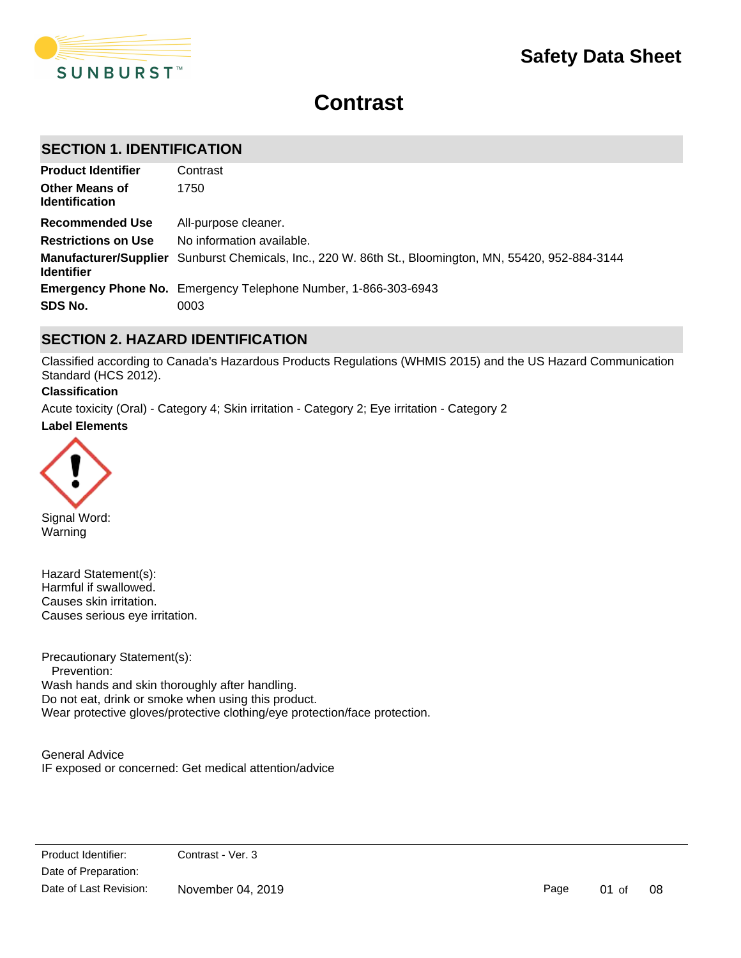

# **Contrast**

# **SECTION 1. IDENTIFICATION**

| <b>Product Identifier</b>                      | Contrast                                                                                              |
|------------------------------------------------|-------------------------------------------------------------------------------------------------------|
| <b>Other Means of</b><br><b>Identification</b> | 1750                                                                                                  |
| Recommended Use                                | All-purpose cleaner.                                                                                  |
| <b>Restrictions on Use</b>                     | No information available.                                                                             |
| <b>Identifier</b>                              | Manufacturer/Supplier Sunburst Chemicals, Inc., 220 W. 86th St., Bloomington, MN, 55420, 952-884-3144 |
|                                                | <b>Emergency Phone No.</b> Emergency Telephone Number, 1-866-303-6943                                 |
| SDS No.                                        | 0003                                                                                                  |

# **SECTION 2. HAZARD IDENTIFICATION**

Classified according to Canada's Hazardous Products Regulations (WHMIS 2015) and the US Hazard Communication Standard (HCS 2012).

#### **Classification**

**Label Elements** Acute toxicity (Oral) - Category 4; Skin irritation - Category 2; Eye irritation - Category 2



Signal Word: Warning

Hazard Statement(s): Harmful if swallowed. Causes skin irritation. Causes serious eye irritation.

Precautionary Statement(s): Prevention: Wash hands and skin thoroughly after handling. Do not eat, drink or smoke when using this product. Wear protective gloves/protective clothing/eye protection/face protection.

General Advice IF exposed or concerned: Get medical attention/advice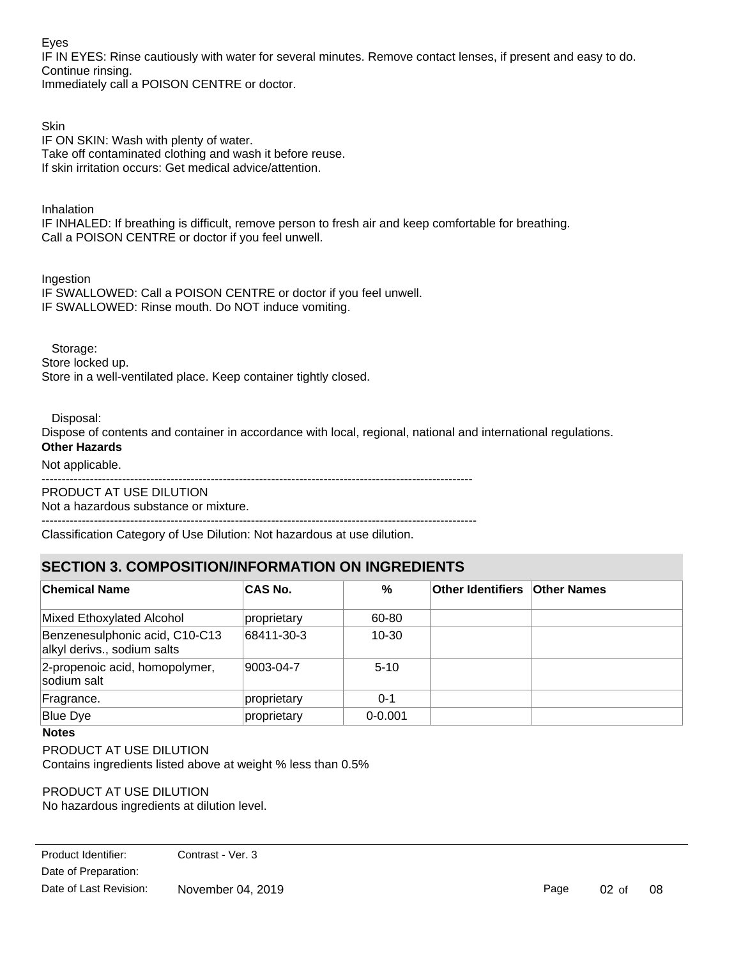Eyes

IF IN EYES: Rinse cautiously with water for several minutes. Remove contact lenses, if present and easy to do. Continue rinsing.

Immediately call a POISON CENTRE or doctor.

**Skin** IF ON SKIN: Wash with plenty of water. Take off contaminated clothing and wash it before reuse. If skin irritation occurs: Get medical advice/attention.

**Inhalation** 

IF INHALED: If breathing is difficult, remove person to fresh air and keep comfortable for breathing. Call a POISON CENTRE or doctor if you feel unwell.

Ingestion IF SWALLOWED: Call a POISON CENTRE or doctor if you feel unwell. IF SWALLOWED: Rinse mouth. Do NOT induce vomiting.

 Storage: Store locked up.

Store in a well-ventilated place. Keep container tightly closed.

Disposal:

Dispose of contents and container in accordance with local, regional, national and international regulations. **Other Hazards**

Not applicable.

 $-$ 

PRODUCT AT USE DILUTION Not a hazardous substance or mixture.

 $-$ Classification Category of Use Dilution: Not hazardous at use dilution.

# **SECTION 3. COMPOSITION/INFORMATION ON INGREDIENTS**

| SECTION 3. COMPOSITION/INFORMATION ON INGREDIENTS             |             |             |                          |                    |
|---------------------------------------------------------------|-------------|-------------|--------------------------|--------------------|
| <b>Chemical Name</b>                                          | CAS No.     | %           | <b>Other Identifiers</b> | <b>Other Names</b> |
| Mixed Ethoxylated Alcohol                                     | proprietary | 60-80       |                          |                    |
| Benzenesulphonic acid, C10-C13<br>alkyl derivs., sodium salts | 68411-30-3  | $10 - 30$   |                          |                    |
| 2-propenoic acid, homopolymer,<br>sodium salt                 | 9003-04-7   | $5-10$      |                          |                    |
| Fragrance.                                                    | proprietary | $0 - 1$     |                          |                    |
| <b>Blue Dye</b>                                               | proprietary | $0 - 0.001$ |                          |                    |

### **Notes**

PRODUCT AT USE DILUTION Contains ingredients listed above at weight % less than 0.5%

PRODUCT AT USE DILUTION No hazardous ingredients at dilution level.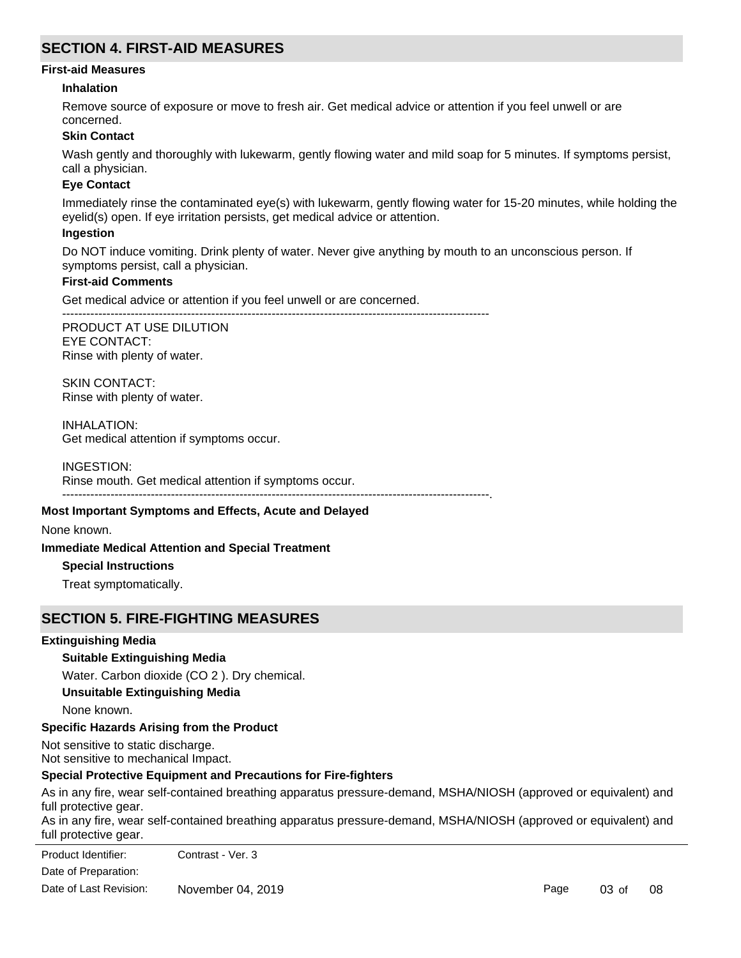# **SECTION 4. FIRST-AID MEASURES**

#### **First-aid Measures**

#### **Inhalation**

Remove source of exposure or move to fresh air. Get medical advice or attention if you feel unwell or are concerned.

#### **Skin Contact**

Wash gently and thoroughly with lukewarm, gently flowing water and mild soap for 5 minutes. If symptoms persist, call a physician.

#### **Eye Contact**

Immediately rinse the contaminated eye(s) with lukewarm, gently flowing water for 15-20 minutes, while holding the eyelid(s) open. If eye irritation persists, get medical advice or attention.

#### **Ingestion**

Do NOT induce vomiting. Drink plenty of water. Never give anything by mouth to an unconscious person. If symptoms persist, call a physician.

#### **First-aid Comments**

Get medical advice or attention if you feel unwell or are concerned.

----------------------------------------------------------------------------------------------------------

PRODUCT AT USE DILUTION EYE CONTACT: Rinse with plenty of water.

SKIN CONTACT: Rinse with plenty of water.

INHALATION: Get medical attention if symptoms occur.

INGESTION: Rinse mouth. Get medical attention if symptoms occur. ----------------------------------------------------------------------------------------------------------.

#### **Most Important Symptoms and Effects, Acute and Delayed**

None known.

#### **Immediate Medical Attention and Special Treatment**

#### **Special Instructions**

Treat symptomatically.

### **SECTION 5. FIRE-FIGHTING MEASURES**

#### **Extinguishing Media**

### **Suitable Extinguishing Media**

Water. Carbon dioxide (CO 2 ). Dry chemical.

**Unsuitable Extinguishing Media**

None known.

### **Specific Hazards Arising from the Product**

Not sensitive to static discharge. Not sensitive to mechanical Impact.

### **Special Protective Equipment and Precautions for Fire-fighters**

As in any fire, wear self-contained breathing apparatus pressure-demand, MSHA/NIOSH (approved or equivalent) and full protective gear.

As in any fire, wear self-contained breathing apparatus pressure-demand, MSHA/NIOSH (approved or equivalent) and full protective gear.

Date of Preparation: Product Identifier: Contrast - Ver. 3 Date of Last Revision: November 04, 2019

Page 03 of 08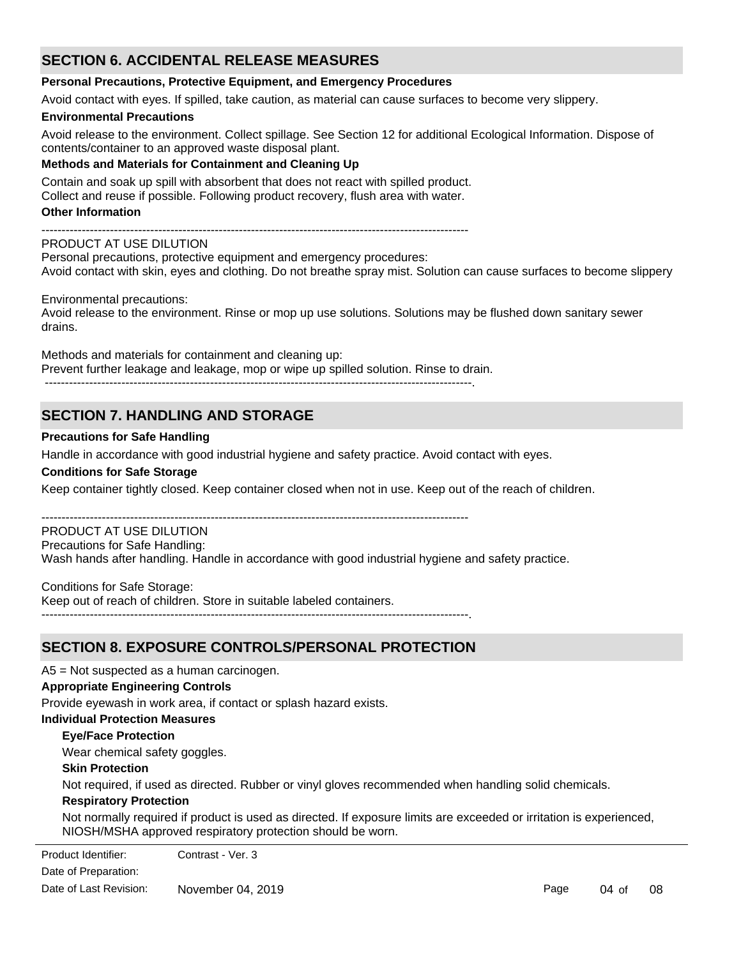# **SECTION 6. ACCIDENTAL RELEASE MEASURES**

#### **Personal Precautions, Protective Equipment, and Emergency Procedures**

Avoid contact with eyes. If spilled, take caution, as material can cause surfaces to become very slippery.

#### **Environmental Precautions**

Avoid release to the environment. Collect spillage. See Section 12 for additional Ecological Information. Dispose of contents/container to an approved waste disposal plant.

#### **Methods and Materials for Containment and Cleaning Up**

Contain and soak up spill with absorbent that does not react with spilled product.

Collect and reuse if possible. Following product recovery, flush area with water.

#### **Other Information**

----------------------------------------------------------------------------------------------------------

#### PRODUCT AT USE DILUTION

Personal precautions, protective equipment and emergency procedures: Avoid contact with skin, eyes and clothing. Do not breathe spray mist. Solution can cause surfaces to become slippery

#### Environmental precautions:

Avoid release to the environment. Rinse or mop up use solutions. Solutions may be flushed down sanitary sewer drains.

Methods and materials for containment and cleaning up: Prevent further leakage and leakage, mop or wipe up spilled solution. Rinse to drain.

----------------------------------------------------------------------------------------------------------.

# **SECTION 7. HANDLING AND STORAGE**

#### **Precautions for Safe Handling**

Handle in accordance with good industrial hygiene and safety practice. Avoid contact with eyes.

#### **Conditions for Safe Storage**

Keep container tightly closed. Keep container closed when not in use. Keep out of the reach of children.

#### ---------------------------------------------------------------------------------------------------------- PRODUCT AT USE DILUTION

Precautions for Safe Handling:

Wash hands after handling. Handle in accordance with good industrial hygiene and safety practice.

Conditions for Safe Storage:

Keep out of reach of children. Store in suitable labeled containers.

----------------------------------------------------------------------------------------------------------.

# **SECTION 8. EXPOSURE CONTROLS/PERSONAL PROTECTION**

A5 = Not suspected as a human carcinogen.

### **Appropriate Engineering Controls**

Provide eyewash in work area, if contact or splash hazard exists.

### **Individual Protection Measures**

### **Eye/Face Protection**

Wear chemical safety goggles.

### **Skin Protection**

Not required, if used as directed. Rubber or vinyl gloves recommended when handling solid chemicals.

#### **Respiratory Protection**

Not normally required if product is used as directed. If exposure limits are exceeded or irritation is experienced, NIOSH/MSHA approved respiratory protection should be worn.

Date of Preparation: Product Identifier: Contrast - Ver. 3 Date of Last Revision: November 04, 2019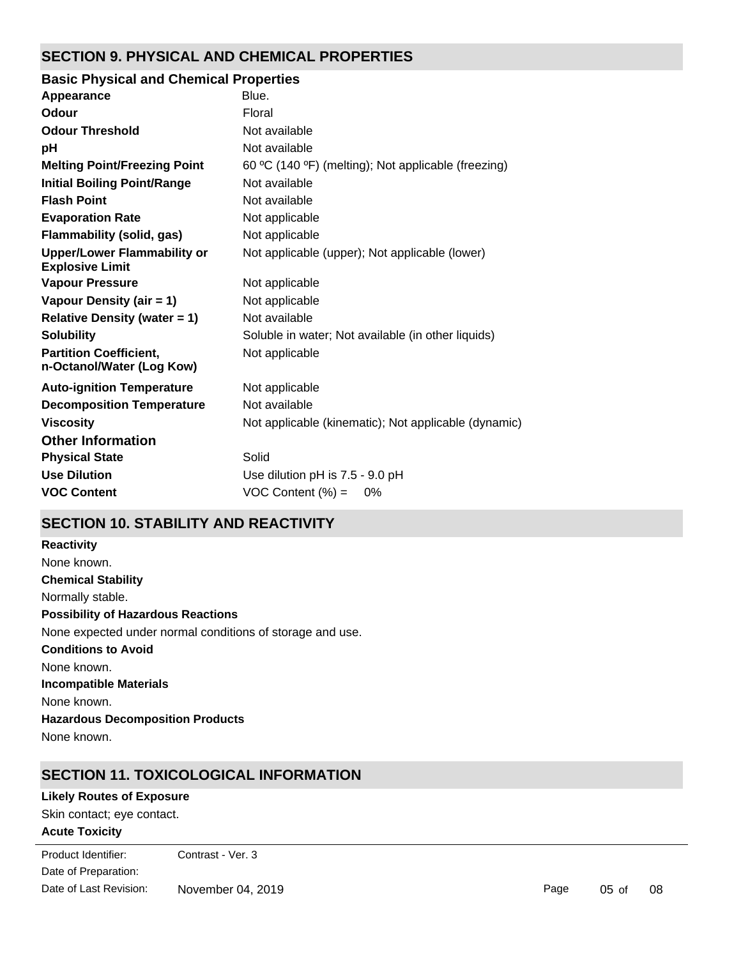# **SECTION 9. PHYSICAL AND CHEMICAL PROPERTIES**

### **Basic Physical and Chemical Properties**

| Appearance                                                   | Blue.                                                |
|--------------------------------------------------------------|------------------------------------------------------|
| Odour                                                        | Floral                                               |
| <b>Odour Threshold</b>                                       | Not available                                        |
| рH                                                           | Not available                                        |
| <b>Melting Point/Freezing Point</b>                          | 60 °C (140 °F) (melting); Not applicable (freezing)  |
| <b>Initial Boiling Point/Range</b>                           | Not available                                        |
| <b>Flash Point</b>                                           | Not available                                        |
| <b>Evaporation Rate</b>                                      | Not applicable                                       |
| <b>Flammability (solid, gas)</b>                             | Not applicable                                       |
| <b>Upper/Lower Flammability or</b><br><b>Explosive Limit</b> | Not applicable (upper); Not applicable (lower)       |
| <b>Vapour Pressure</b>                                       | Not applicable                                       |
| Vapour Density (air = 1)                                     | Not applicable                                       |
| <b>Relative Density (water = 1)</b>                          | Not available                                        |
| <b>Solubility</b>                                            | Soluble in water; Not available (in other liquids)   |
| <b>Partition Coefficient,</b><br>n-Octanol/Water (Log Kow)   | Not applicable                                       |
| <b>Auto-ignition Temperature</b>                             | Not applicable                                       |
| <b>Decomposition Temperature</b>                             | Not available                                        |
| <b>Viscosity</b>                                             | Not applicable (kinematic); Not applicable (dynamic) |
| <b>Other Information</b>                                     |                                                      |
| <b>Physical State</b>                                        | Solid                                                |
| <b>Use Dilution</b>                                          | Use dilution pH is 7.5 - 9.0 pH                      |
| <b>VOC Content</b>                                           | VOC Content $(\%) =$<br>0%                           |
|                                                              |                                                      |

# **SECTION 10. STABILITY AND REACTIVITY**

**Chemical Stability** Normally stable. **Conditions to Avoid** None known. **Incompatible Materials** None known. **Hazardous Decomposition Products** None known. **Possibility of Hazardous Reactions** None expected under normal conditions of storage and use. **Reactivity** None known.

# **SECTION 11. TOXICOLOGICAL INFORMATION**

### **Likely Routes of Exposure**

**Acute Toxicity** Skin contact; eye contact.

Date of Preparation: Product Identifier: Contrast - Ver. 3 Date of Last Revision: November 04, 2019

Page 05 of 08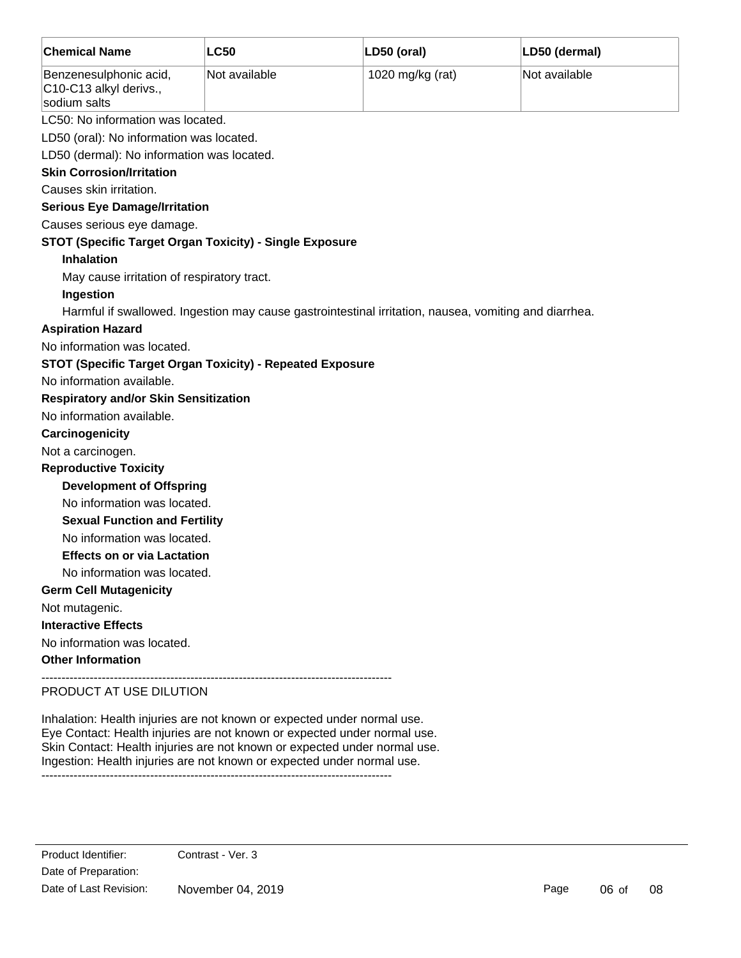| <b>Chemical Name</b>                                             | <b>LC50</b>                                                                                           | LD50 (oral)      | LD50 (dermal) |
|------------------------------------------------------------------|-------------------------------------------------------------------------------------------------------|------------------|---------------|
| Benzenesulphonic acid,<br>C10-C13 alkyl derivs.,<br>sodium salts | Not available                                                                                         | 1020 mg/kg (rat) | Not available |
| LC50: No information was located.                                |                                                                                                       |                  |               |
| LD50 (oral): No information was located.                         |                                                                                                       |                  |               |
| LD50 (dermal): No information was located.                       |                                                                                                       |                  |               |
| <b>Skin Corrosion/Irritation</b>                                 |                                                                                                       |                  |               |
| Causes skin irritation.                                          |                                                                                                       |                  |               |
| <b>Serious Eye Damage/Irritation</b>                             |                                                                                                       |                  |               |
| Causes serious eye damage.                                       |                                                                                                       |                  |               |
| STOT (Specific Target Organ Toxicity) - Single Exposure          |                                                                                                       |                  |               |
| <b>Inhalation</b>                                                |                                                                                                       |                  |               |
| May cause irritation of respiratory tract.                       |                                                                                                       |                  |               |
| Ingestion                                                        |                                                                                                       |                  |               |
|                                                                  | Harmful if swallowed. Ingestion may cause gastrointestinal irritation, nausea, vomiting and diarrhea. |                  |               |
| <b>Aspiration Hazard</b>                                         |                                                                                                       |                  |               |
| No information was located.                                      |                                                                                                       |                  |               |
| <b>STOT (Specific Target Organ Toxicity) - Repeated Exposure</b> |                                                                                                       |                  |               |
| No information available.                                        |                                                                                                       |                  |               |
| <b>Respiratory and/or Skin Sensitization</b>                     |                                                                                                       |                  |               |
| No information available.                                        |                                                                                                       |                  |               |
| Carcinogenicity                                                  |                                                                                                       |                  |               |
| Not a carcinogen.                                                |                                                                                                       |                  |               |
| <b>Reproductive Toxicity</b>                                     |                                                                                                       |                  |               |
| <b>Development of Offspring</b>                                  |                                                                                                       |                  |               |
| No information was located.                                      |                                                                                                       |                  |               |
| <b>Sexual Function and Fertility</b>                             |                                                                                                       |                  |               |
| No information was located.                                      |                                                                                                       |                  |               |
| <b>Effects on or via Lactation</b>                               |                                                                                                       |                  |               |
| No information was located.                                      |                                                                                                       |                  |               |
| <b>Germ Cell Mutagenicity</b>                                    |                                                                                                       |                  |               |
| Not mutagenic.                                                   |                                                                                                       |                  |               |
| <b>Interactive Effects</b>                                       |                                                                                                       |                  |               |
| No information was located.                                      |                                                                                                       |                  |               |
| <b>Other Information</b>                                         |                                                                                                       |                  |               |
| <b>IN THE LIGT AT LIGT DILITION</b>                              |                                                                                                       |                  |               |

PRODUCT AT USE DILUTION

Inhalation: Health injuries are not known or expected under normal use. Eye Contact: Health injuries are not known or expected under normal use. Skin Contact: Health injuries are not known or expected under normal use. Ingestion: Health injuries are not known or expected under normal use. ---------------------------------------------------------------------------------------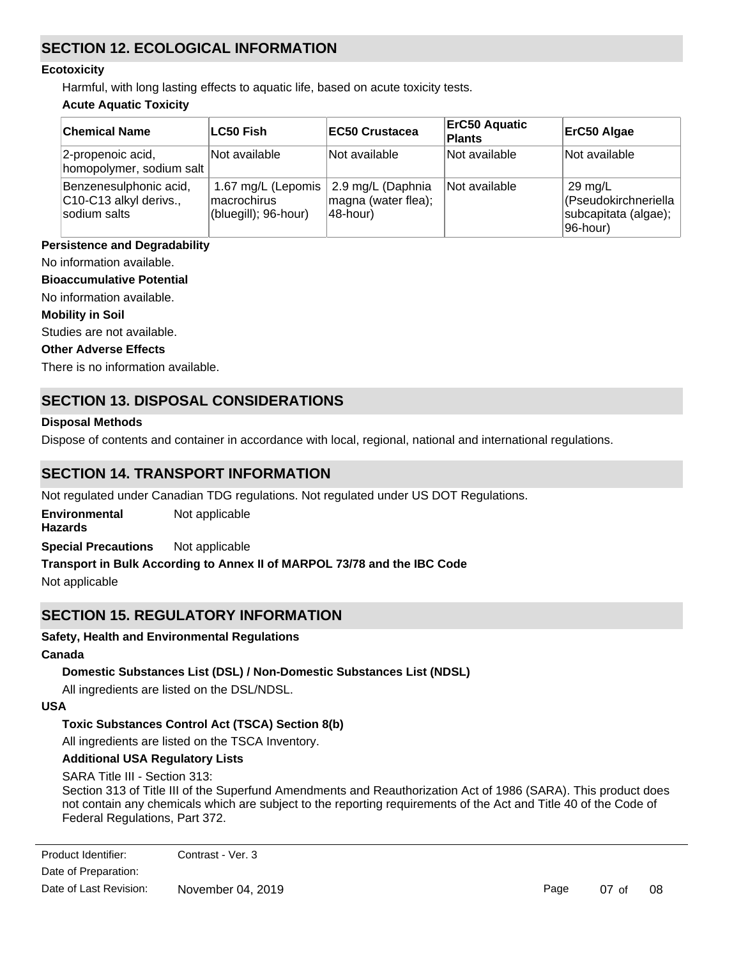# **SECTION 12. ECOLOGICAL INFORMATION**

#### **Ecotoxicity**

Harmful, with long lasting effects to aquatic life, based on acute toxicity tests.

### **Acute Aquatic Toxicity**

| <b>Chemical Name</b>                                             | <b>LC50 Fish</b>                                          | <b>IEC50 Crustacea</b>                               | <b>ErC50 Aquatic</b><br><b>Plants</b> | ErC50 Algae                                                                   |
|------------------------------------------------------------------|-----------------------------------------------------------|------------------------------------------------------|---------------------------------------|-------------------------------------------------------------------------------|
| 2-propenoic acid,<br>homopolymer, sodium salt                    | Not available                                             | Not available                                        | Not available                         | Not available                                                                 |
| Benzenesulphonic acid,<br>C10-C13 alkyl derivs.,<br>sodium salts | 1.67 mg/L (Lepomis<br>macrochirus<br>(bluegill); 96-hour) | 2.9 mg/L (Daphnia<br>magna (water flea);<br>48-hour) | Not available                         | $29 \text{ mg/L}$<br>(Pseudokirchneriella<br>subcapitata (algae);<br>96-hour) |

### **Persistence and Degradability**

No information available.

### **Bioaccumulative Potential**

No information available.

#### **Mobility in Soil**

Studies are not available.

#### **Other Adverse Effects**

There is no information available.

# **SECTION 13. DISPOSAL CONSIDERATIONS**

#### **Disposal Methods**

Dispose of contents and container in accordance with local, regional, national and international regulations.

# **SECTION 14. TRANSPORT INFORMATION**

Not regulated under Canadian TDG regulations. Not regulated under US DOT Regulations.

**Environmental** Not applicable

**Hazards**

**Special Precautions** Not applicable

### **Transport in Bulk According to Annex II of MARPOL 73/78 and the IBC Code**

Not applicable

# **SECTION 15. REGULATORY INFORMATION**

### **Safety, Health and Environmental Regulations**

### **Canada**

### **Domestic Substances List (DSL) / Non-Domestic Substances List (NDSL)**

All ingredients are listed on the DSL/NDSL.

### **USA**

### **Toxic Substances Control Act (TSCA) Section 8(b)**

All ingredients are listed on the TSCA Inventory.

### **Additional USA Regulatory Lists**

SARA Title III - Section 313:

Section 313 of Title III of the Superfund Amendments and Reauthorization Act of 1986 (SARA). This product does not contain any chemicals which are subject to the reporting requirements of the Act and Title 40 of the Code of Federal Regulations, Part 372.